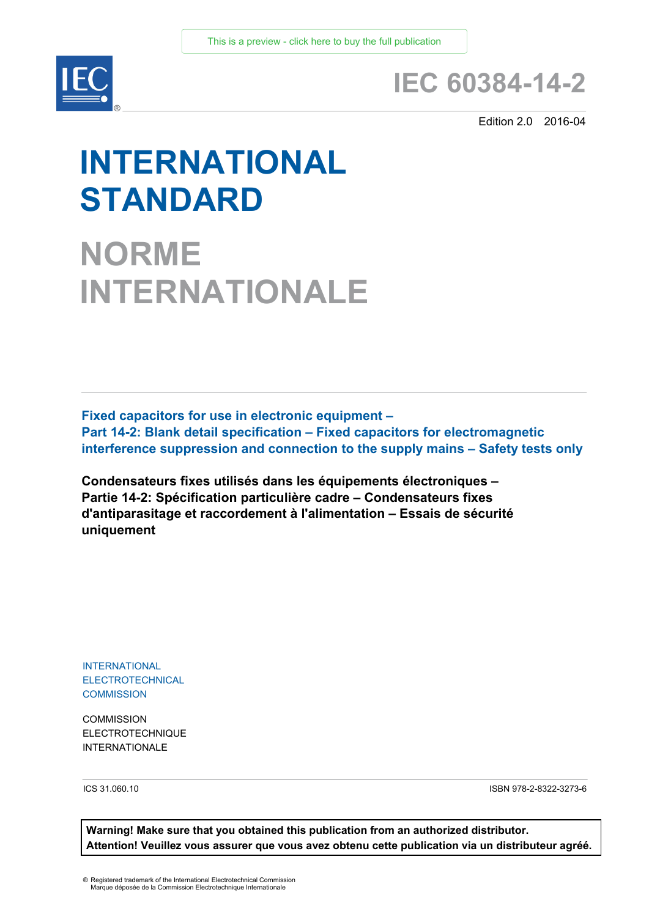

# **IEC 60384-14-2**

Edition 2.0 2016-04

# **INTERNATIONAL STANDARD**

**NORME INTERNATIONALE**

**Fixed capacitors for use in electronic equipment – Part 14-2: Blank detail specification – Fixed capacitors for electromagnetic interference suppression and connection to the supply mains – Safety tests only** 

**Condensateurs fixes utilisés dans les équipements électroniques – Partie 14-2: Spécification particulière cadre – Condensateurs fixes d'antiparasitage et raccordement à l'alimentation – Essais de sécurité uniquement**

INTERNATIONAL ELECTROTECHNICAL **COMMISSION** 

**COMMISSION** ELECTROTECHNIQUE INTERNATIONALE

ICS 31.060.10 ISBN 978-2-8322-3273-6

**Warning! Make sure that you obtained this publication from an authorized distributor. Attention! Veuillez vous assurer que vous avez obtenu cette publication via un distributeur agréé.**

® Registered trademark of the International Electrotechnical Commission Marque déposée de la Commission Electrotechnique Internationale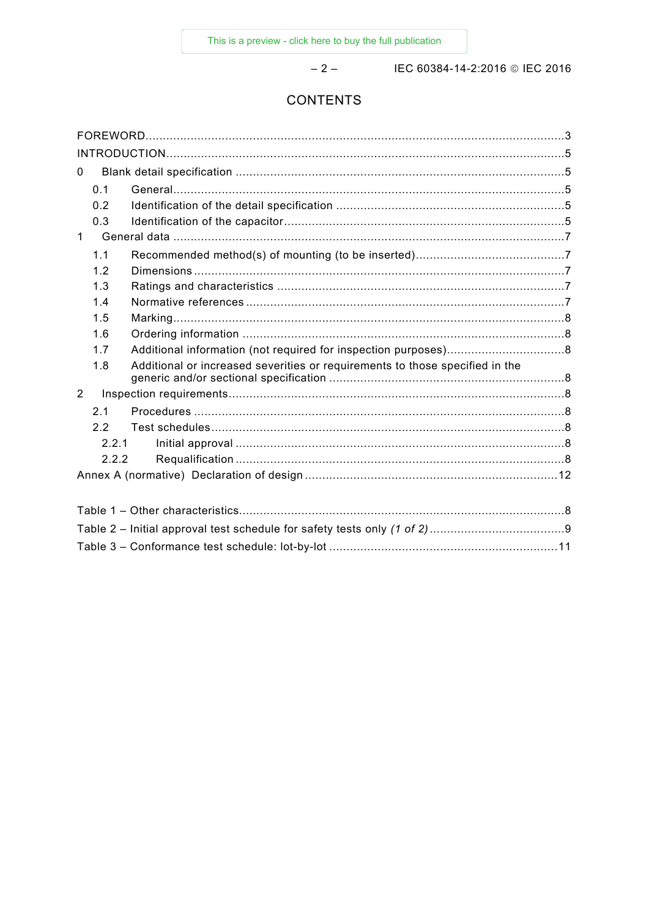$-2-$ 

IEC 60384-14-2:2016 © IEC 2016

# **CONTENTS**

| $\Omega$       |                                                                              |  |
|----------------|------------------------------------------------------------------------------|--|
| 0.1            |                                                                              |  |
| 0.2            |                                                                              |  |
| 0.3            |                                                                              |  |
| $\mathbf{1}$   |                                                                              |  |
| 1.1            |                                                                              |  |
| 1.2            |                                                                              |  |
| 1.3            |                                                                              |  |
| 1.4            |                                                                              |  |
| 1.5            |                                                                              |  |
| 1.6            |                                                                              |  |
| 1.7            |                                                                              |  |
| 1.8            | Additional or increased severities or requirements to those specified in the |  |
| $\overline{2}$ |                                                                              |  |
| 2.1            |                                                                              |  |
| 2.2            |                                                                              |  |
| 2.2.1          |                                                                              |  |
| 2.2.2          |                                                                              |  |
|                |                                                                              |  |
|                |                                                                              |  |
|                |                                                                              |  |
|                |                                                                              |  |
|                |                                                                              |  |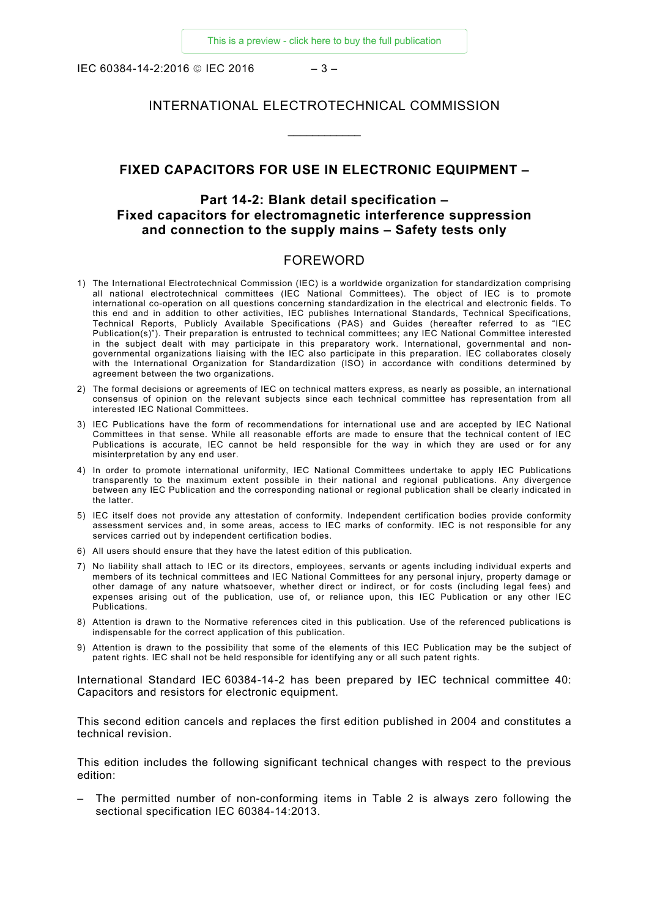IEC 60384-14-2:2016 IEC 2016 – 3 –

# INTERNATIONAL ELECTROTECHNICAL COMMISSION

\_\_\_\_\_\_\_\_\_\_\_\_

# **FIXED CAPACITORS FOR USE IN ELECTRONIC EQUIPMENT –**

# **Part 14-2: Blank detail specification – Fixed capacitors for electromagnetic interference suppression and connection to the supply mains – Safety tests only**

# FOREWORD

- <span id="page-2-0"></span>1) The International Electrotechnical Commission (IEC) is a worldwide organization for standardization comprising all national electrotechnical committees (IEC National Committees). The object of IEC is to promote international co-operation on all questions concerning standardization in the electrical and electronic fields. To this end and in addition to other activities, IEC publishes International Standards, Technical Specifications, Technical Reports, Publicly Available Specifications (PAS) and Guides (hereafter referred to as "IEC Publication(s)"). Their preparation is entrusted to technical committees; any IEC National Committee interested in the subject dealt with may participate in this preparatory work. International, governmental and nongovernmental organizations liaising with the IEC also participate in this preparation. IEC collaborates closely with the International Organization for Standardization (ISO) in accordance with conditions determined by agreement between the two organizations.
- 2) The formal decisions or agreements of IEC on technical matters express, as nearly as possible, an international consensus of opinion on the relevant subjects since each technical committee has representation from all interested IEC National Committees.
- 3) IEC Publications have the form of recommendations for international use and are accepted by IEC National Committees in that sense. While all reasonable efforts are made to ensure that the technical content of IEC Publications is accurate, IEC cannot be held responsible for the way in which they are used or for any misinterpretation by any end user.
- 4) In order to promote international uniformity, IEC National Committees undertake to apply IEC Publications transparently to the maximum extent possible in their national and regional publications. Any divergence between any IEC Publication and the corresponding national or regional publication shall be clearly indicated in the latter.
- 5) IEC itself does not provide any attestation of conformity. Independent certification bodies provide conformity assessment services and, in some areas, access to IEC marks of conformity. IEC is not responsible for any services carried out by independent certification bodies.
- 6) All users should ensure that they have the latest edition of this publication.
- 7) No liability shall attach to IEC or its directors, employees, servants or agents including individual experts and members of its technical committees and IEC National Committees for any personal injury, property damage or other damage of any nature whatsoever, whether direct or indirect, or for costs (including legal fees) and expenses arising out of the publication, use of, or reliance upon, this IEC Publication or any other IEC Publications.
- 8) Attention is drawn to the Normative references cited in this publication. Use of the referenced publications is indispensable for the correct application of this publication.
- 9) Attention is drawn to the possibility that some of the elements of this IEC Publication may be the subject of patent rights. IEC shall not be held responsible for identifying any or all such patent rights.

International Standard IEC 60384-14-2 has been prepared by IEC technical committee 40: Capacitors and resistors for electronic equipment.

This second edition cancels and replaces the first edition published in 2004 and constitutes a technical revision.

This edition includes the following significant technical changes with respect to the previous edition:

– The permitted number of non-conforming items in Table 2 is always zero following the sectional specification IEC 60384-14:2013.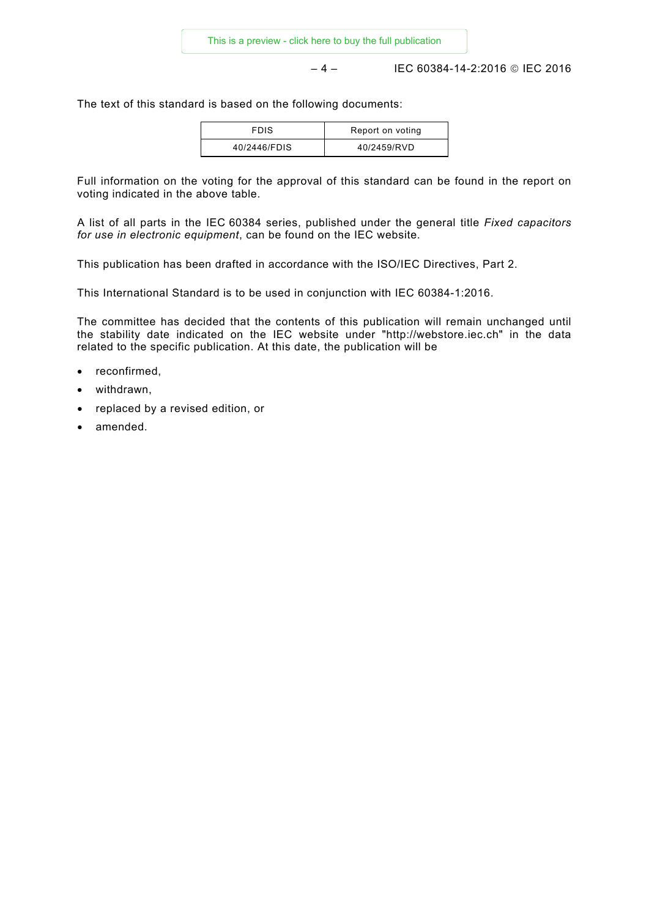– 4 – IEC 60384-14-2:2016 IEC 2016

The text of this standard is based on the following documents:

| <b>FDIS</b>  | Report on voting |
|--------------|------------------|
| 40/2446/FDIS | 40/2459/RVD      |

Full information on the voting for the approval of this standard can be found in the report on voting indicated in the above table.

A list of all parts in the IEC 60384 series, published under the general title *Fixed capacitors for use in electronic equipment*, can be found on the IEC website.

This publication has been drafted in accordance with the ISO/IEC Directives, Part 2.

This International Standard is to be used in conjunction with IEC 60384-1:2016.

The committee has decided that the contents of this publication will remain unchanged until the stability date indicated on the IEC website under "http://webstore.iec.ch" in the data related to the specific publication. At this date, the publication will be

- reconfirmed,
- withdrawn,
- replaced by a revised edition, or
- amended.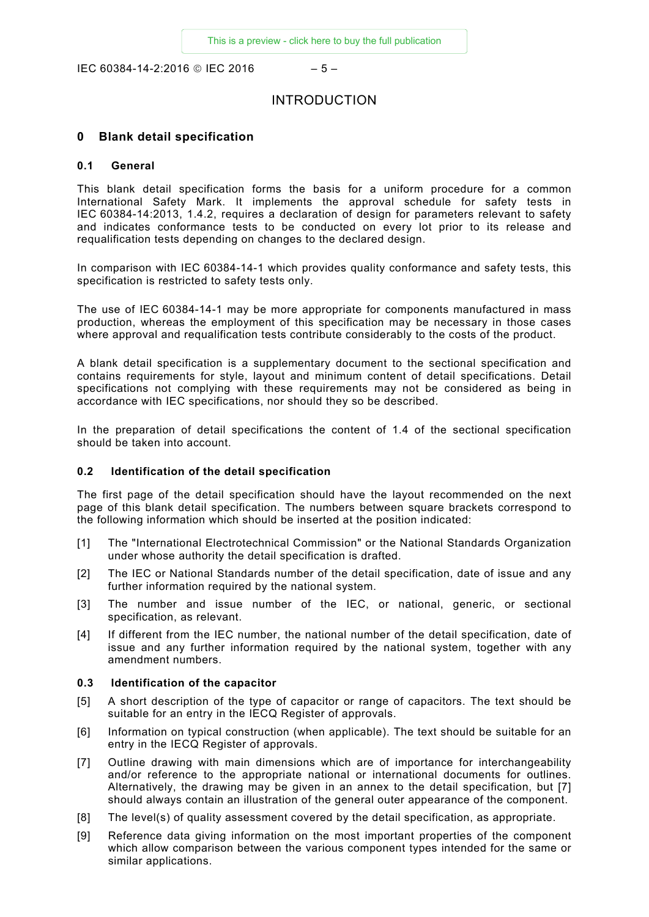<span id="page-4-0"></span>IEC 60384-14-2:2016 © IEC 2016 – 5 –

# INTRODUCTION

## <span id="page-4-1"></span>**0 Blank detail specification**

#### <span id="page-4-2"></span>**0.1 General**

This blank detail specification forms the basis for a uniform procedure for a common International Safety Mark. It implements the approval schedule for safety tests in IEC 60384-14:2013, 1.4.2, requires a declaration of design for parameters relevant to safety and indicates conformance tests to be conducted on every lot prior to its release and requalification tests depending on changes to the declared design.

In comparison with IEC 60384-14-1 which provides quality conformance and safety tests, this specification is restricted to safety tests only.

The use of IEC 60384-14-1 may be more appropriate for components manufactured in mass production, whereas the employment of this specification may be necessary in those cases where approval and requalification tests contribute considerably to the costs of the product.

A blank detail specification is a supplementary document to the sectional specification and contains requirements for style, layout and minimum content of detail specifications. Detail specifications not complying with these requirements may not be considered as being in accordance with IEC specifications, nor should they so be described.

In the preparation of detail specifications the content of 1.4 of the sectional specification should be taken into account.

#### <span id="page-4-3"></span>**0.2 Identification of the detail specification**

The first page of the detail specification should have the layout recommended on the next page of this blank detail specification. The numbers between square brackets correspond to the following information which should be inserted at the position indicated:

- [1] The "International Electrotechnical Commission" or the National Standards Organization under whose authority the detail specification is drafted.
- [2] The IEC or National Standards number of the detail specification, date of issue and any further information required by the national system.
- [3] The number and issue number of the IEC, or national, generic, or sectional specification, as relevant.
- [4] If different from the IEC number, the national number of the detail specification, date of issue and any further information required by the national system, together with any amendment numbers.

#### <span id="page-4-4"></span>**0.3 Identification of the capacitor**

- [5] A short description of the type of capacitor or range of capacitors. The text should be suitable for an entry in the IECQ Register of approvals.
- [6] Information on typical construction (when applicable). The text should be suitable for an entry in the IECQ Register of approvals.
- [7] Outline drawing with main dimensions which are of importance for interchangeability and/or reference to the appropriate national or international documents for outlines. Alternatively, the drawing may be given in an annex to the detail specification, but [7] should always contain an illustration of the general outer appearance of the component.
- [8] The level(s) of quality assessment covered by the detail specification, as appropriate.
- [9] Reference data giving information on the most important properties of the component which allow comparison between the various component types intended for the same or similar applications.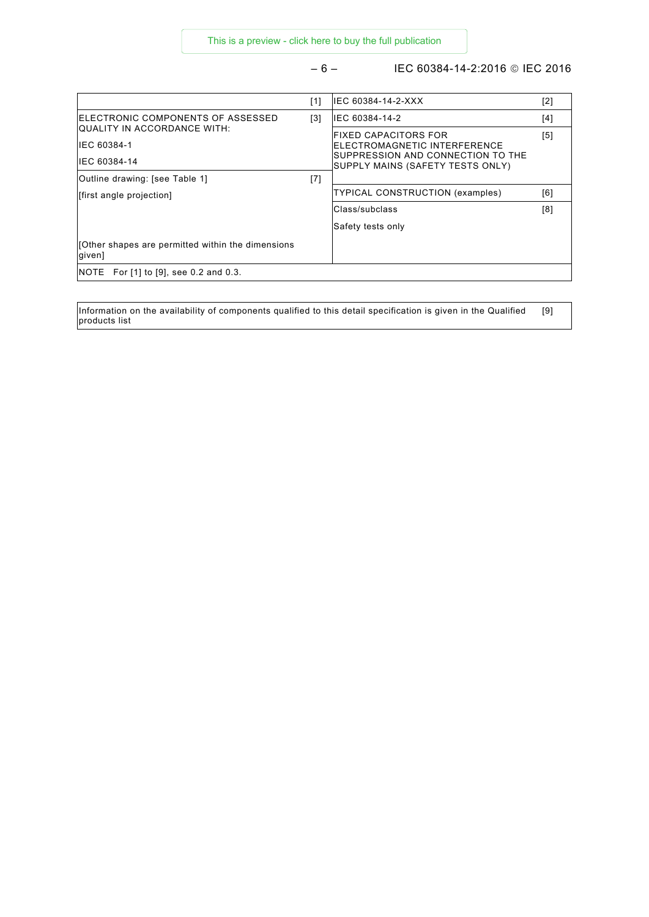– 6 – IEC 60384-14-2:2016 IEC 2016

|                                                              | [1]      | IEC 60384-14-2-XXX                                                                                    | $[2]$    |
|--------------------------------------------------------------|----------|-------------------------------------------------------------------------------------------------------|----------|
| IELECTRONIC COMPONENTS OF ASSESSED                           | [3]      | IEC 60384-14-2                                                                                        | [4]      |
| QUALITY IN ACCORDANCE WITH:                                  |          | <b>FIXED CAPACITORS FOR</b>                                                                           | [5]      |
| IEC 60384-1                                                  |          | ELECTROMAGNETIC INTERFERENCE<br>SUPPRESSION AND CONNECTION TO THE<br>SUPPLY MAINS (SAFETY TESTS ONLY) |          |
| IEC 60384-14                                                 |          |                                                                                                       |          |
| Outline drawing: [see Table 1]                               | $^{[7]}$ |                                                                                                       |          |
| [first angle projection]                                     |          | <b>TYPICAL CONSTRUCTION (examples)</b>                                                                | [6]      |
|                                                              |          | Class/subclass                                                                                        | $^{[8]}$ |
|                                                              |          | Safety tests only                                                                                     |          |
| [Other shapes are permitted within the dimensions]<br>qiven] |          |                                                                                                       |          |
| NOTE For [1] to [9], see 0.2 and 0.3.                        |          |                                                                                                       |          |

Information on the availability of components qualified to this detail specification is given in the Qualified products list [9]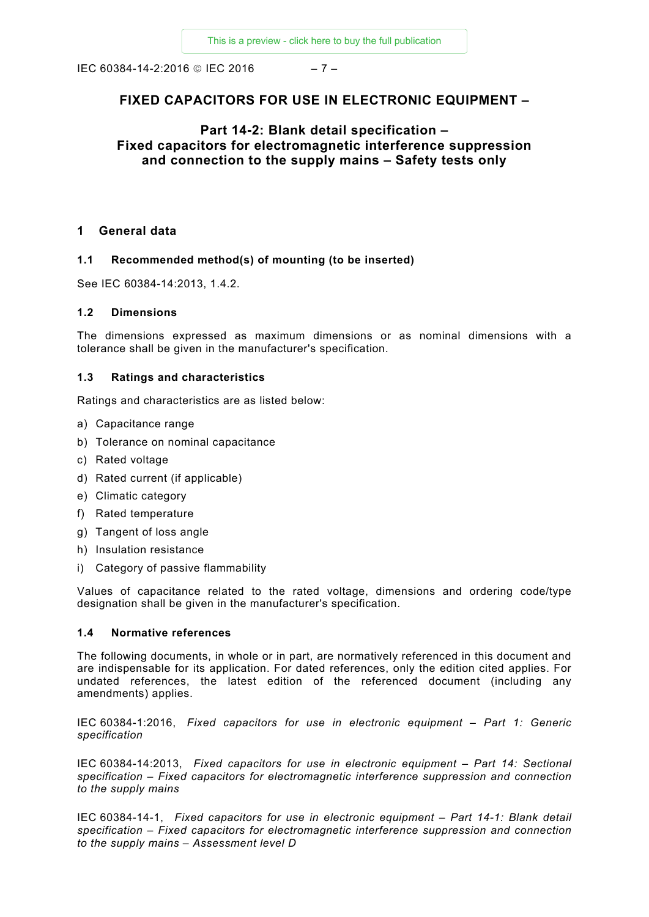IFC 60384-14-2:2016 © IFC 2016  $-7-$ 

# **FIXED CAPACITORS FOR USE IN ELECTRONIC EQUIPMENT –**

# **Part 14-2: Blank detail specification – Fixed capacitors for electromagnetic interference suppression and connection to the supply mains – Safety tests only**

## <span id="page-6-0"></span>**1 General data**

## <span id="page-6-1"></span>**1.1 Recommended method(s) of mounting (to be inserted)**

See IEC 60384-14:2013, 1.4.2.

#### <span id="page-6-2"></span>**1.2 Dimensions**

The dimensions expressed as maximum dimensions or as nominal dimensions with a tolerance shall be given in the manufacturer's specification.

#### <span id="page-6-3"></span>**1.3 Ratings and characteristics**

Ratings and characteristics are as listed below:

- a) Capacitance range
- b) Tolerance on nominal capacitance
- c) Rated voltage
- d) Rated current (if applicable)
- e) Climatic category
- f) Rated temperature
- g) Tangent of loss angle
- h) Insulation resistance
- i) Category of passive flammability

Values of capacitance related to the rated voltage, dimensions and ordering code/type designation shall be given in the manufacturer's specification.

#### <span id="page-6-4"></span>**1.4 Normative references**

The following documents, in whole or in part, are normatively referenced in this document and are indispensable for its application. For dated references, only the edition cited applies. For undated references, the latest edition of the referenced document (including any amendments) applies.

IEC 60384-1:2016, *Fixed capacitors for use in electronic equipment – Part 1: Generic specification*

IEC 60384-14:2013, *Fixed capacitors for use in electronic equipment – Part 14: Sectional specification – Fixed capacitors for electromagnetic interference suppression and connection to the supply mains*

IEC 60384-14-1, *Fixed capacitors for use in electronic equipment – Part 14-1: Blank detail specification – Fixed capacitors for electromagnetic interference suppression and connection to the supply mains – Assessment level D*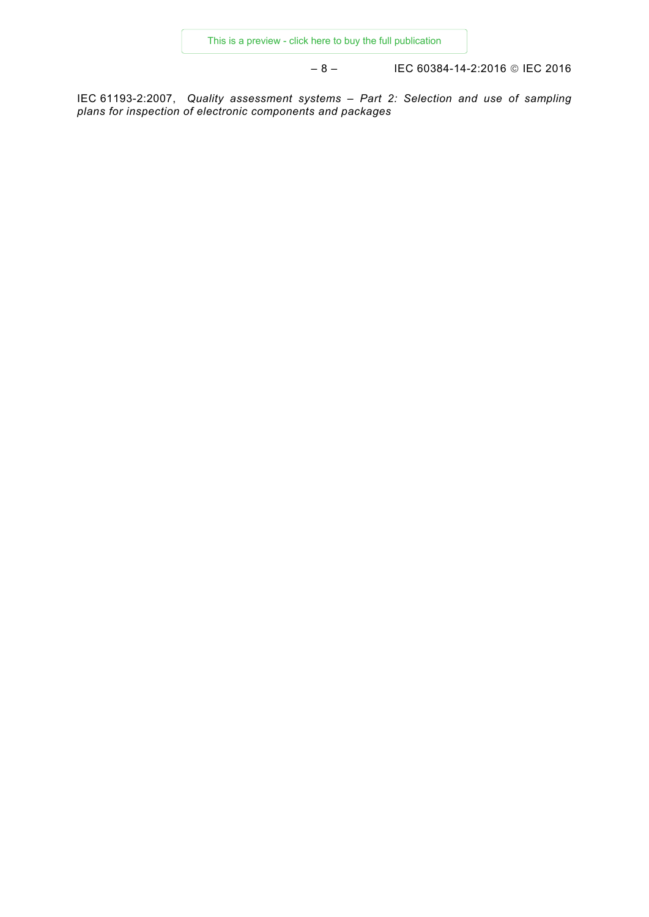– 8 – IEC 60384-14-2:2016 IEC 2016

<span id="page-7-9"></span><span id="page-7-8"></span><span id="page-7-7"></span><span id="page-7-6"></span><span id="page-7-5"></span><span id="page-7-4"></span><span id="page-7-3"></span><span id="page-7-2"></span><span id="page-7-1"></span><span id="page-7-0"></span>IEC 61193-2:2007, *Quality assessment systems – Part 2: Selection and use of sampling plans for inspection of electronic components and packages*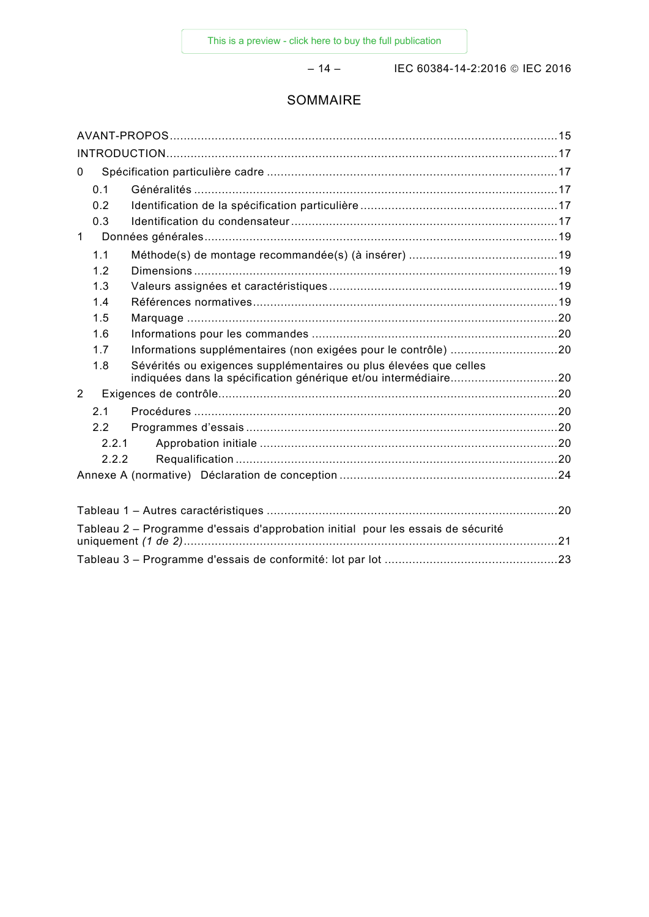– 14 – IEC 60384-14-2:2016 IEC 2016

# SOMMAIRE

| $\mathbf{0}$                                                                     |       |                                                                                                                                      |  |
|----------------------------------------------------------------------------------|-------|--------------------------------------------------------------------------------------------------------------------------------------|--|
|                                                                                  | 0.1   |                                                                                                                                      |  |
|                                                                                  | 0.2   |                                                                                                                                      |  |
|                                                                                  | 0.3   |                                                                                                                                      |  |
| $\mathbf 1$                                                                      |       |                                                                                                                                      |  |
|                                                                                  | 1.1   |                                                                                                                                      |  |
|                                                                                  | 1.2   |                                                                                                                                      |  |
|                                                                                  | 1.3   |                                                                                                                                      |  |
|                                                                                  | 1.4   |                                                                                                                                      |  |
|                                                                                  | 1.5   |                                                                                                                                      |  |
|                                                                                  | 1.6   |                                                                                                                                      |  |
|                                                                                  | 1.7   | Informations supplémentaires (non exigées pour le contrôle) 20                                                                       |  |
|                                                                                  | 1.8   | Sévérités ou exigences supplémentaires ou plus élevées que celles<br>indiquées dans la spécification générique et/ou intermédiaire20 |  |
| $\overline{2}$                                                                   |       |                                                                                                                                      |  |
|                                                                                  | 2.1   |                                                                                                                                      |  |
|                                                                                  | 2.2   |                                                                                                                                      |  |
|                                                                                  | 2.2.1 |                                                                                                                                      |  |
|                                                                                  | 2.2.2 |                                                                                                                                      |  |
|                                                                                  |       |                                                                                                                                      |  |
|                                                                                  |       |                                                                                                                                      |  |
|                                                                                  |       |                                                                                                                                      |  |
| Tableau 2 – Programme d'essais d'approbation initial pour les essais de sécurité |       |                                                                                                                                      |  |
|                                                                                  |       |                                                                                                                                      |  |
|                                                                                  |       |                                                                                                                                      |  |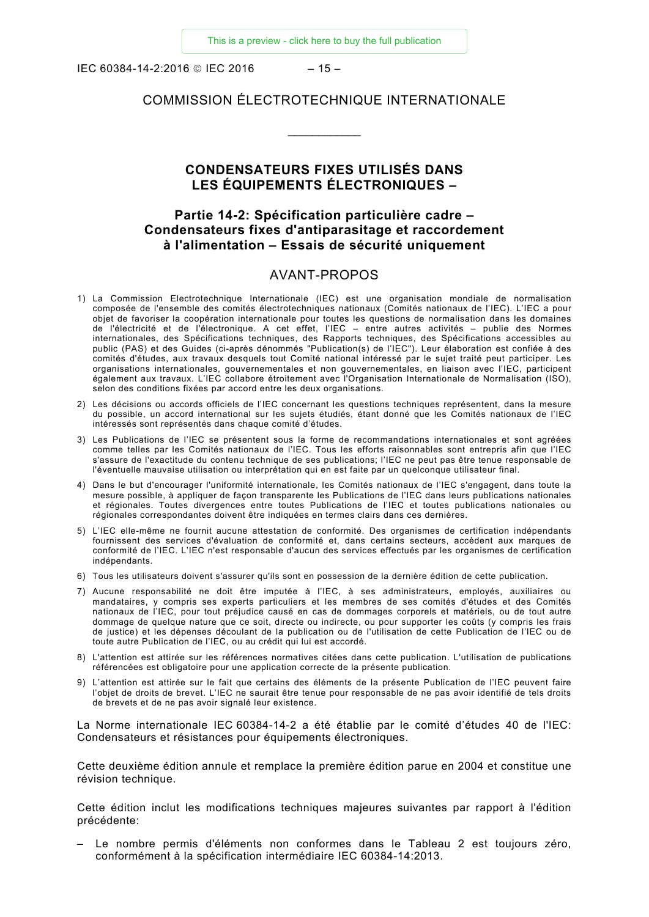IEC 60384-14-2:2016 © IEC 2016 – 15 –

# COMMISSION ÉLECTROTECHNIQUE INTERNATIONALE

\_\_\_\_\_\_\_\_\_\_\_\_

# **CONDENSATEURS FIXES UTILISÉS DANS LES ÉQUIPEMENTS ÉLECTRONIQUES –**

# **Partie 14-2: Spécification particulière cadre – Condensateurs fixes d'antiparasitage et raccordement à l'alimentation – Essais de sécurité uniquement**

# AVANT-PROPOS

- <span id="page-9-0"></span>1) La Commission Electrotechnique Internationale (IEC) est une organisation mondiale de normalisation composée de l'ensemble des comités électrotechniques nationaux (Comités nationaux de l'IEC). L'IEC a pour objet de favoriser la coopération internationale pour toutes les questions de normalisation dans les domaines de l'électricité et de l'électronique. A cet effet, l'IEC – entre autres activités – publie des Normes internationales, des Spécifications techniques, des Rapports techniques, des Spécifications accessibles au public (PAS) et des Guides (ci-après dénommés "Publication(s) de l'IEC"). Leur élaboration est confiée à des comités d'études, aux travaux desquels tout Comité national intéressé par le sujet traité peut participer. Les organisations internationales, gouvernementales et non gouvernementales, en liaison avec l'IEC, participent également aux travaux. L'IEC collabore étroitement avec l'Organisation Internationale de Normalisation (ISO), selon des conditions fixées par accord entre les deux organisations.
- 2) Les décisions ou accords officiels de l'IEC concernant les questions techniques représentent, dans la mesure du possible, un accord international sur les sujets étudiés, étant donné que les Comités nationaux de l'IEC intéressés sont représentés dans chaque comité d'études.
- 3) Les Publications de l'IEC se présentent sous la forme de recommandations internationales et sont agréées comme telles par les Comités nationaux de l'IEC. Tous les efforts raisonnables sont entrepris afin que l'IEC s'assure de l'exactitude du contenu technique de ses publications; l'IEC ne peut pas être tenue responsable de l'éventuelle mauvaise utilisation ou interprétation qui en est faite par un quelconque utilisateur final.
- 4) Dans le but d'encourager l'uniformité internationale, les Comités nationaux de l'IEC s'engagent, dans toute la mesure possible, à appliquer de façon transparente les Publications de l'IEC dans leurs publications nationales et régionales. Toutes divergences entre toutes Publications de l'IEC et toutes publications nationales ou régionales correspondantes doivent être indiquées en termes clairs dans ces dernières.
- 5) L'IEC elle-même ne fournit aucune attestation de conformité. Des organismes de certification indépendants fournissent des services d'évaluation de conformité et, dans certains secteurs, accèdent aux marques de conformité de l'IEC. L'IEC n'est responsable d'aucun des services effectués par les organismes de certification indépendants.
- 6) Tous les utilisateurs doivent s'assurer qu'ils sont en possession de la dernière édition de cette publication.
- 7) Aucune responsabilité ne doit être imputée à l'IEC, à ses administrateurs, employés, auxiliaires ou mandataires, y compris ses experts particuliers et les membres de ses comités d'études et des Comités nationaux de l'IEC, pour tout préjudice causé en cas de dommages corporels et matériels, ou de tout autre dommage de quelque nature que ce soit, directe ou indirecte, ou pour supporter les coûts (y compris les frais de justice) et les dépenses découlant de la publication ou de l'utilisation de cette Publication de l'IEC ou de toute autre Publication de l'IEC, ou au crédit qui lui est accordé.
- 8) L'attention est attirée sur les références normatives citées dans cette publication. L'utilisation de publications référencées est obligatoire pour une application correcte de la présente publication.
- 9) L'attention est attirée sur le fait que certains des éléments de la présente Publication de l'IEC peuvent faire l'objet de droits de brevet. L'IEC ne saurait être tenue pour responsable de ne pas avoir identifié de tels droits de brevets et de ne pas avoir signalé leur existence.

La Norme internationale IEC 60384-14-2 a été établie par le comité d'études 40 de l'IEC: Condensateurs et résistances pour équipements électroniques.

Cette deuxième édition annule et remplace la première édition parue en 2004 et constitue une révision technique.

Cette édition inclut les modifications techniques majeures suivantes par rapport à l'édition précédente:

– Le nombre permis d'éléments non conformes dans le Tableau 2 est toujours zéro, conformément à la spécification intermédiaire IEC 60384-14:2013.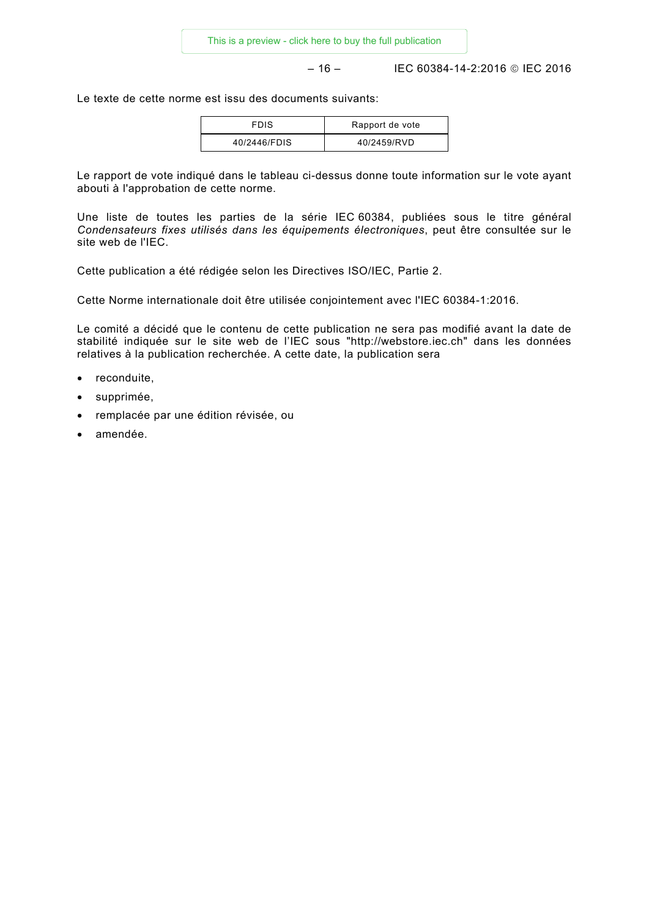$-16 - 16$  IEC 60384-14-2:2016 © IEC 2016

Le texte de cette norme est issu des documents suivants:

| <b>FDIS</b>  | Rapport de vote |
|--------------|-----------------|
| 40/2446/FDIS | 40/2459/RVD     |

Le rapport de vote indiqué dans le tableau ci-dessus donne toute information sur le vote ayant abouti à l'approbation de cette norme.

Une liste de toutes les parties de la série IEC 60384, publiées sous le titre général *Condensateurs fixes utilisés dans les équipements électroniques*, peut être consultée sur le site web de l'IEC.

Cette publication a été rédigée selon les Directives ISO/IEC, Partie 2.

Cette Norme internationale doit être utilisée conjointement avec l'IEC 60384-1:2016.

Le comité a décidé que le contenu de cette publication ne sera pas modifié avant la date de stabilité indiquée sur le site web de l'IEC sous "http://webstore.iec.ch" dans les données relatives à la publication recherchée. A cette date, la publication sera

- reconduite,
- supprimée,
- remplacée par une édition révisée, ou
- amendée.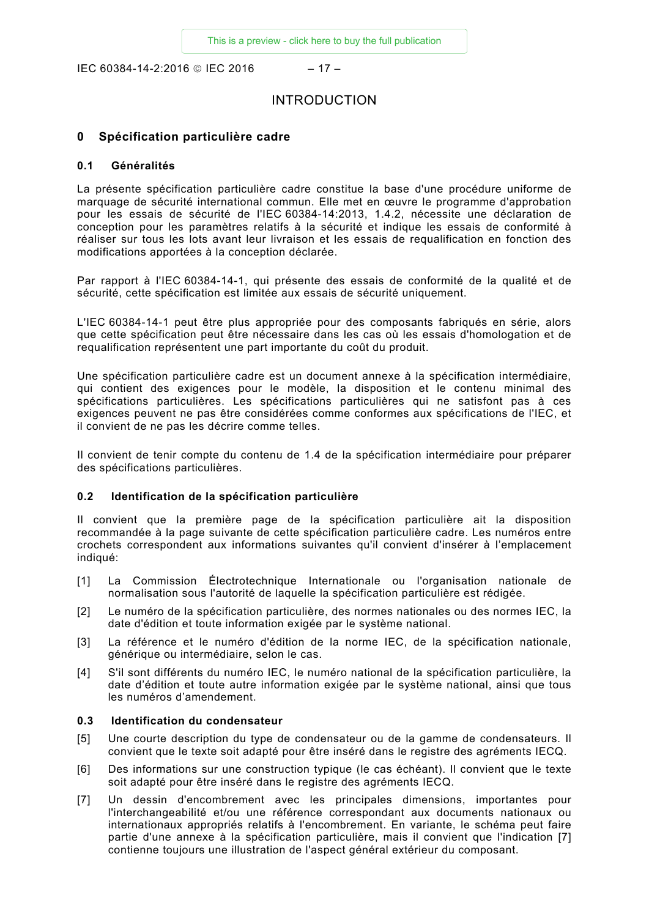<span id="page-11-0"></span>IEC 60384-14-2:2016 © IEC 2016 – 17 –

# INTRODUCTION

## <span id="page-11-1"></span>**0 Spécification particulière cadre**

#### <span id="page-11-2"></span>**0.1 Généralités**

La présente spécification particulière cadre constitue la base d'une procédure uniforme de marquage de sécurité international commun. Elle met en œuvre le programme d'approbation pour les essais de sécurité de l'IEC 60384-14:2013, 1.4.2, nécessite une déclaration de conception pour les paramètres relatifs à la sécurité et indique les essais de conformité à réaliser sur tous les lots avant leur livraison et les essais de requalification en fonction des modifications apportées à la conception déclarée.

Par rapport à l'IEC 60384-14-1, qui présente des essais de conformité de la qualité et de sécurité, cette spécification est limitée aux essais de sécurité uniquement.

L'IEC 60384-14-1 peut être plus appropriée pour des composants fabriqués en série, alors que cette spécification peut être nécessaire dans les cas où les essais d'homologation et de requalification représentent une part importante du coût du produit.

Une spécification particulière cadre est un document annexe à la spécification intermédiaire, qui contient des exigences pour le modèle, la disposition et le contenu minimal des spécifications particulières. Les spécifications particulières qui ne satisfont pas à ces exigences peuvent ne pas être considérées comme conformes aux spécifications de l'IEC, et il convient de ne pas les décrire comme telles.

Il convient de tenir compte du contenu de 1.4 de la spécification intermédiaire pour préparer des spécifications particulières.

#### <span id="page-11-3"></span>**0.2 Identification de la spécification particulière**

Il convient que la première page de la spécification particulière ait la disposition recommandée à la page suivante de cette spécification particulière cadre. Les numéros entre crochets correspondent aux informations suivantes qu'il convient d'insérer à l'emplacement indiqué:

- [1] La Commission Électrotechnique Internationale ou l'organisation nationale de normalisation sous l'autorité de laquelle la spécification particulière est rédigée.
- [2] Le numéro de la spécification particulière, des normes nationales ou des normes IEC, la date d'édition et toute information exigée par le système national.
- [3] La référence et le numéro d'édition de la norme IEC, de la spécification nationale, générique ou intermédiaire, selon le cas.
- [4] S'il sont différents du numéro IEC, le numéro national de la spécification particulière, la date d'édition et toute autre information exigée par le système national, ainsi que tous les numéros d'amendement.

#### <span id="page-11-4"></span>**0.3 Identification du condensateur**

- [5] Une courte description du type de condensateur ou de la gamme de condensateurs. Il convient que le texte soit adapté pour être inséré dans le registre des agréments IECQ.
- [6] Des informations sur une construction typique (le cas échéant). Il convient que le texte soit adapté pour être inséré dans le registre des agréments IECQ.
- [7] Un dessin d'encombrement avec les principales dimensions, importantes pour l'interchangeabilité et/ou une référence correspondant aux documents nationaux ou internationaux appropriés relatifs à l'encombrement. En variante, le schéma peut faire partie d'une annexe à la spécification particulière, mais il convient que l'indication [7] contienne toujours une illustration de l'aspect général extérieur du composant.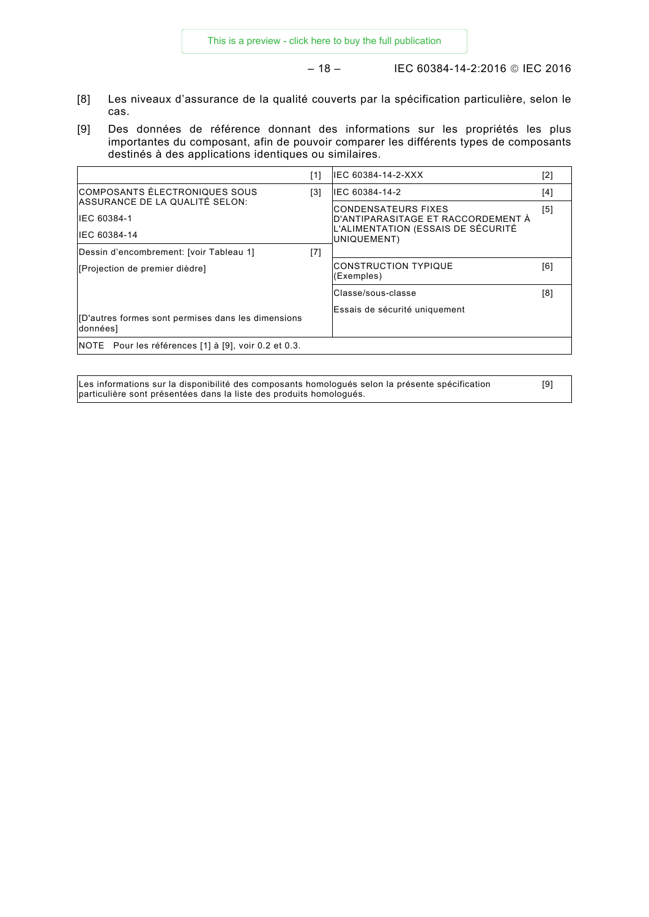– 18 – IEC 60384-14-2:2016 IEC 2016

- [8] Les niveaux d'assurance de la qualité couverts par la spécification particulière, selon le cas.
- [9] Des données de référence donnant des informations sur les propriétés les plus importantes du composant, afin de pouvoir comparer les différents types de composants destinés à des applications identiques ou similaires.

|                                                                | [1]               | IEC 60384-14-2-XXX                                                                                              | $[2]$ |
|----------------------------------------------------------------|-------------------|-----------------------------------------------------------------------------------------------------------------|-------|
| COMPOSANTS ÉLECTRONIQUES SOUS                                  | $\lceil 3 \rceil$ | IEC 60384-14-2                                                                                                  | [4]   |
| ASSURANCE DE LA QUALITÉ SELON:                                 |                   | ICONDENSATEURS FIXES<br>D'ANTIPARASITAGE ET RACCORDEMENT À<br>L'ALIMENTATION (ESSAIS DE SÉCURITÉ<br>UNIQUEMENT) | [5]   |
| IEC 60384-1<br>IIEC 60384-14                                   |                   |                                                                                                                 |       |
|                                                                |                   |                                                                                                                 |       |
| Dessin d'encombrement: [voir Tableau 1]                        | $[7]$             |                                                                                                                 |       |
| [Projection de premier dièdre]                                 |                   | ICONSTRUCTION TYPIQUE<br>(Exemples)                                                                             | [6]   |
|                                                                |                   | Classe/sous-classe                                                                                              | [8]   |
| [D'autres formes sont permises dans les dimensions<br>données] |                   | Essais de sécurité uniquement                                                                                   |       |
| NOTE Pour les références [1] à [9], voir 0.2 et 0.3.           |                   |                                                                                                                 |       |

Les informations sur la disponibilité des composants homologués selon la présente spécification particulière sont présentées dans la liste des produits homologués. [9]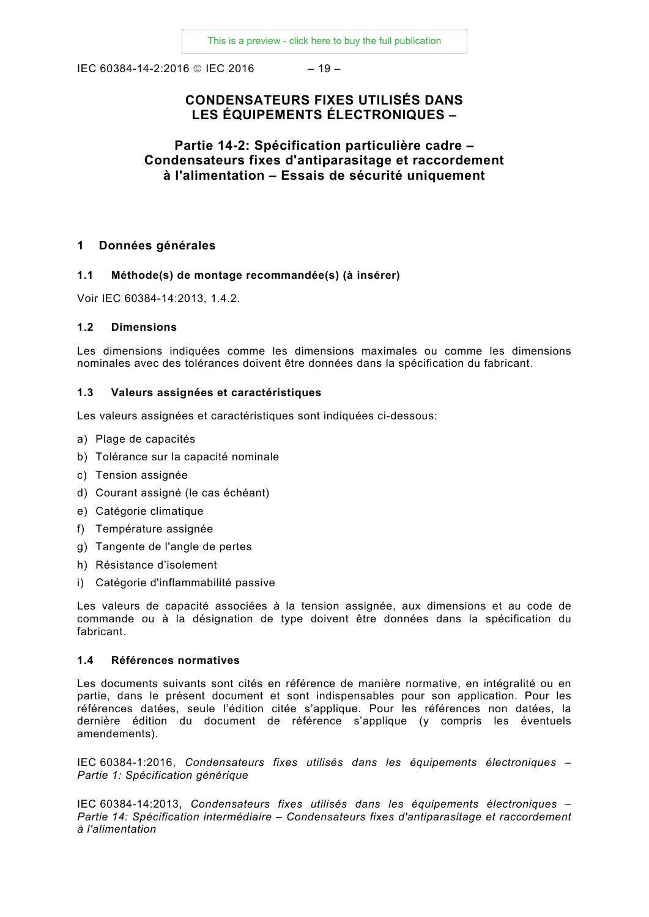IEC 60384-14-2:2016 © IEC 2016 – 19 –

# **CONDENSATEURS FIXES UTILISÉS DANS LES ÉQUIPEMENTS ÉLECTRONIQUES –**

# **Partie 14-2: Spécification particulière cadre – Condensateurs fixes d'antiparasitage et raccordement à l'alimentation – Essais de sécurité uniquement**

## <span id="page-13-0"></span>**1 Données générales**

## <span id="page-13-1"></span>**1.1 Méthode(s) de montage recommandée(s) (à insérer)**

Voir IEC 60384-14:2013, 1.4.2.

#### <span id="page-13-2"></span>**1.2 Dimensions**

Les dimensions indiquées comme les dimensions maximales ou comme les dimensions nominales avec des tolérances doivent être données dans la spécification du fabricant.

#### <span id="page-13-3"></span>**1.3 Valeurs assignées et caractéristiques**

Les valeurs assignées et caractéristiques sont indiquées ci-dessous:

- a) Plage de capacités
- b) Tolérance sur la capacité nominale
- c) Tension assignée
- d) Courant assigné (le cas échéant)
- e) Catégorie climatique
- f) Température assignée
- g) Tangente de l'angle de pertes
- h) Résistance d'isolement
- i) Catégorie d'inflammabilité passive

Les valeurs de capacité associées à la tension assignée, aux dimensions et au code de commande ou à la désignation de type doivent être données dans la spécification du fabricant.

#### <span id="page-13-4"></span>**1.4 Références normatives**

Les documents suivants sont cités en référence de manière normative, en intégralité ou en partie, dans le présent document et sont indispensables pour son application. Pour les références datées, seule l'édition citée s'applique. Pour les références non datées, la dernière édition du document de référence s'applique (y compris les éventuels amendements).

IEC 60384-1:2016, *Condensateurs fixes utilisés dans les équipements électroniques – Partie 1: Spécification générique*

IEC 60384-14:2013, *Condensateurs fixes utilisés dans les équipements électroniques – Partie 14: Spécification intermédiaire – Condensateurs fixes d'antiparasitage et raccordement à l'alimentation*